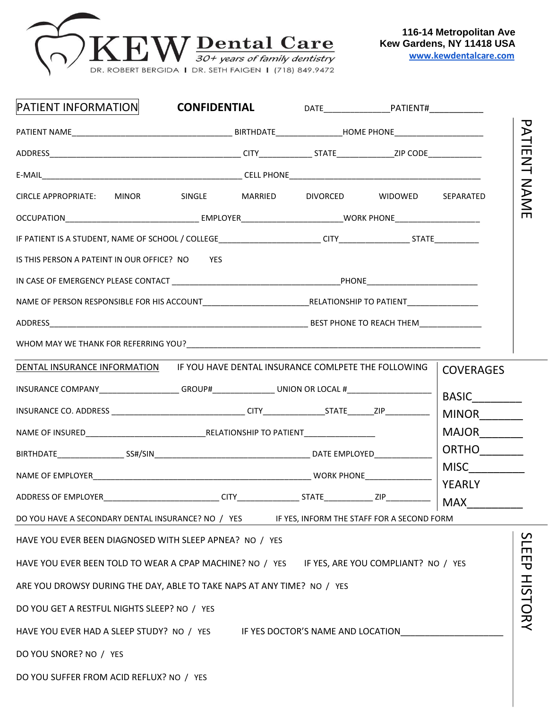

| PATIENT INFORMATION                                                                                 | <b>CONFIDENTIAL</b>               |                  |                                            |                              |
|-----------------------------------------------------------------------------------------------------|-----------------------------------|------------------|--------------------------------------------|------------------------------|
|                                                                                                     |                                   |                  |                                            |                              |
|                                                                                                     |                                   |                  |                                            |                              |
|                                                                                                     |                                   |                  |                                            |                              |
| <b>CIRCLE APPROPRIATE:</b><br>MINOR                                                                 |                                   |                  |                                            |                              |
|                                                                                                     |                                   |                  |                                            |                              |
|                                                                                                     |                                   |                  |                                            |                              |
| IS THIS PERSON A PATEINT IN OUR OFFICE? NO YES                                                      |                                   |                  |                                            |                              |
|                                                                                                     |                                   |                  |                                            |                              |
|                                                                                                     |                                   |                  |                                            |                              |
|                                                                                                     |                                   |                  |                                            |                              |
|                                                                                                     |                                   |                  |                                            |                              |
| DENTAL INSURANCE INFORMATION IF YOU HAVE DENTAL INSURANCE COMLPETE THE FOLLOWING                    |                                   |                  |                                            | <b>COVERAGES</b>             |
| INSURANCE COMPANY___________________GROUP#__________________UNION OR LOCAL #_______________________ |                                   |                  |                                            | BASIC_________               |
|                                                                                                     |                                   |                  |                                            | MINOR<br><u> </u>            |
|                                                                                                     |                                   |                  |                                            | MAJOR_______                 |
|                                                                                                     |                                   |                  |                                            | ORTHO________                |
|                                                                                                     |                                   |                  |                                            | MISC                         |
| ADDRESS OF EMPLOYER                                                                                 | $\overline{\phantom{a}}$ CITY_    | <b>STATE</b> ZIP |                                            | YEARLY<br>$\cdot$   MAX $\_$ |
| DO YOU HAVE A SECONDARY DENTAL INSURANCE? NO / YES                                                  |                                   |                  | IF YES, INFORM THE STAFF FOR A SECOND FORM |                              |
| HAVE YOU EVER BEEN DIAGNOSED WITH SLEEP APNEA? NO / YES                                             |                                   |                  |                                            |                              |
| HAVE YOU EVER BEEN TOLD TO WEAR A CPAP MACHINE? NO / YES                                            |                                   |                  | IF YES, ARE YOU COMPLIANT? NO / YES        |                              |
| ARE YOU DROWSY DURING THE DAY, ABLE TO TAKE NAPS AT ANY TIME? NO / YES                              |                                   |                  |                                            |                              |
| DO YOU GET A RESTFUL NIGHTS SLEEP? NO / YES                                                         |                                   |                  |                                            |                              |
| HAVE YOU EVER HAD A SLEEP STUDY? NO / YES                                                           | IF YES DOCTOR'S NAME AND LOCATION |                  |                                            |                              |
|                                                                                                     |                                   |                  |                                            |                              |
| DO YOU SNORE? NO / YES                                                                              |                                   |                  |                                            |                              |
| DO YOU SUFFER FROM ACID REFLUX? NO / YES                                                            |                                   |                  |                                            |                              |